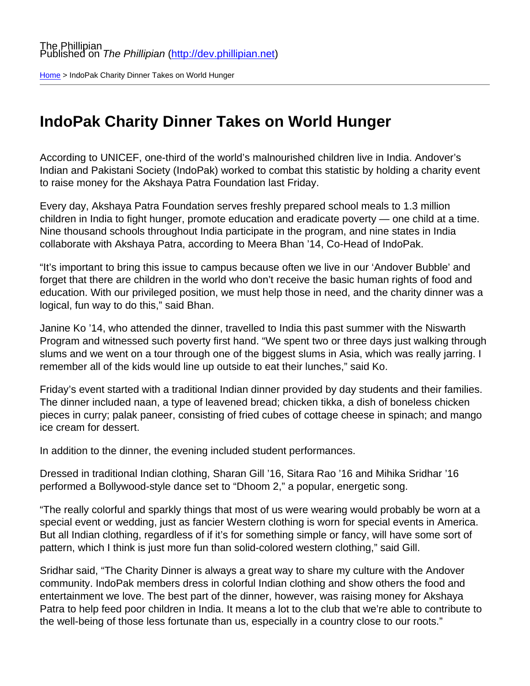[Home](http://dev.phillipian.net/) > IndoPak Charity Dinner Takes on World Hunger

## IndoPak Charity Dinner Takes on World Hunger

According to UNICEF, one-third of the world's malnourished children live in India. Andover's Indian and Pakistani Society (IndoPak) worked to combat this statistic by holding a charity event to raise money for the Akshaya Patra Foundation last Friday.

Every day, Akshaya Patra Foundation serves freshly prepared school meals to 1.3 million children in India to fight hunger, promote education and eradicate poverty — one child at a time. Nine thousand schools throughout India participate in the program, and nine states in India collaborate with Akshaya Patra, according to Meera Bhan '14, Co-Head of IndoPak.

"It's important to bring this issue to campus because often we live in our 'Andover Bubble' and forget that there are children in the world who don't receive the basic human rights of food and education. With our privileged position, we must help those in need, and the charity dinner was a logical, fun way to do this," said Bhan.

Janine Ko '14, who attended the dinner, travelled to India this past summer with the Niswarth Program and witnessed such poverty first hand. "We spent two or three days just walking through slums and we went on a tour through one of the biggest slums in Asia, which was really jarring. I remember all of the kids would line up outside to eat their lunches," said Ko.

Friday's event started with a traditional Indian dinner provided by day students and their families. The dinner included naan, a type of leavened bread; chicken tikka, a dish of boneless chicken pieces in curry; palak paneer, consisting of fried cubes of cottage cheese in spinach; and mango ice cream for dessert.

In addition to the dinner, the evening included student performances.

Dressed in traditional Indian clothing, Sharan Gill '16, Sitara Rao '16 and Mihika Sridhar '16 performed a Bollywood-style dance set to "Dhoom 2," a popular, energetic song.

"The really colorful and sparkly things that most of us were wearing would probably be worn at a special event or wedding, just as fancier Western clothing is worn for special events in America. But all Indian clothing, regardless of if it's for something simple or fancy, will have some sort of pattern, which I think is just more fun than solid-colored western clothing," said Gill.

Sridhar said, "The Charity Dinner is always a great way to share my culture with the Andover community. IndoPak members dress in colorful Indian clothing and show others the food and entertainment we love. The best part of the dinner, however, was raising money for Akshaya Patra to help feed poor children in India. It means a lot to the club that we're able to contribute to the well-being of those less fortunate than us, especially in a country close to our roots."